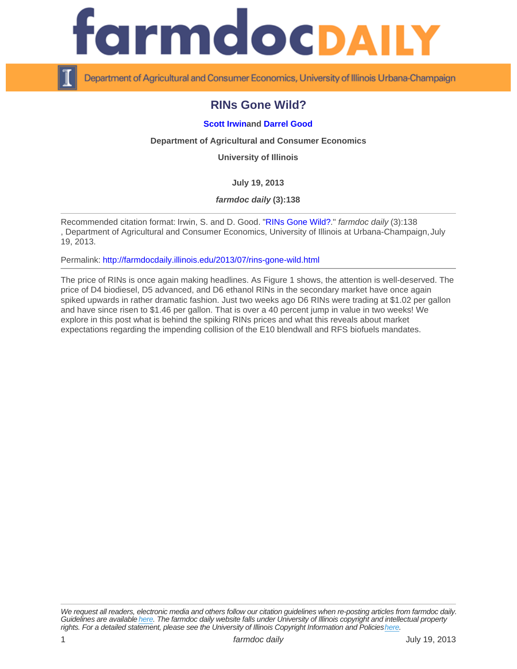## RINs Gone Wild?

## [Scott Irwin](http://www.farmdoc.illinois.edu/irwin) and [Darrel Good](http://www.farmdoc.illinois.edu/good)

Department of Agricultural and Consumer Economics

University of Illinois

July 19, 2013

farmdoc daily (3):138

Recommended citation format: Irwin, S. and D. Good. "[RINs Gone Wild?.](http://farmdocdaily.illinois.edu/2013/07/rins-gone-wild.html)" farmdoc daily (3):138 , Department of Agricultural and Consumer Economics, University of Illinois at Urbana-Champaign, July 19, 2013.

Permalink:<http://farmdocdaily.illinois.edu/2013/07/rins-gone-wild.html>

The price of RINs is once again making headlines. As Figure 1 shows, the attention is well-deserved. The price of D4 biodiesel, D5 advanced, and D6 ethanol RINs in the secondary market have once again spiked upwards in rather dramatic fashion. Just two weeks ago D6 RINs were trading at \$1.02 per gallon and have since risen to \$1.46 per gallon. That is over a 40 percent jump in value in two weeks! We explore in this post what is behind the spiking RINs prices and what this reveals about market expectations regarding the impending collision of the E10 blendwall and RFS biofuels mandates.

We request all readers, electronic media and others follow our citation guidelines when re-posting articles from farmdoc daily. Guidelines are available [here](http://farmdocdaily.illinois.edu/citationguide.html). The farmdoc daily website falls under University of Illinois copyright and intellectual property rights. For a detailed statement, please see the University of Illinois Copyright Information and Policies [here.](https://techservices.illinois.edu/office-cio)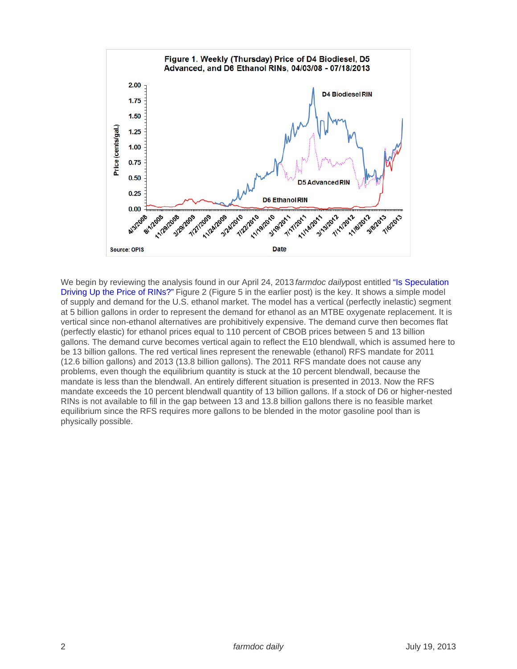We begin by reviewing the analysis found in our April 24, 2013 farmdoc dailypost entitled "Is Speculation [Driving Up the Price of RINs?"](http://farmdocdaily.illinois.edu/2013/04/speculation-driving-up-price-rins.html) Figure 2 (Figure 5 in the earlier post) is the key. It shows a simple model of supply and demand for the U.S. ethanol market. The model has a vertical (perfectly inelastic) segment at 5 billion gallons in order to represent the demand for ethanol as an MTBE oxygenate replacement. It is vertical since non-ethanol alternatives are prohibitively expensive. The demand curve then becomes flat (perfectly elastic) for ethanol prices equal to 110 percent of CBOB prices between 5 and 13 billion gallons. The demand curve becomes vertical again to reflect the E10 blendwall, which is assumed here to be 13 billion gallons. The red vertical lines represent the renewable (ethanol) RFS mandate for 2011 (12.6 billion gallons) and 2013 (13.8 billion gallons). The 2011 RFS mandate does not cause any problems, even though the equilibrium quantity is stuck at the 10 percent blendwall, because the mandate is less than the blendwall. An entirely different situation is presented in 2013. Now the RFS mandate exceeds the 10 percent blendwall quantity of 13 billion gallons. If a stock of D6 or higher-nested RINs is not available to fill in the gap between 13 and 13.8 billion gallons there is no feasible market equilibrium since the RFS requires more gallons to be blended in the motor gasoline pool than is physically possible.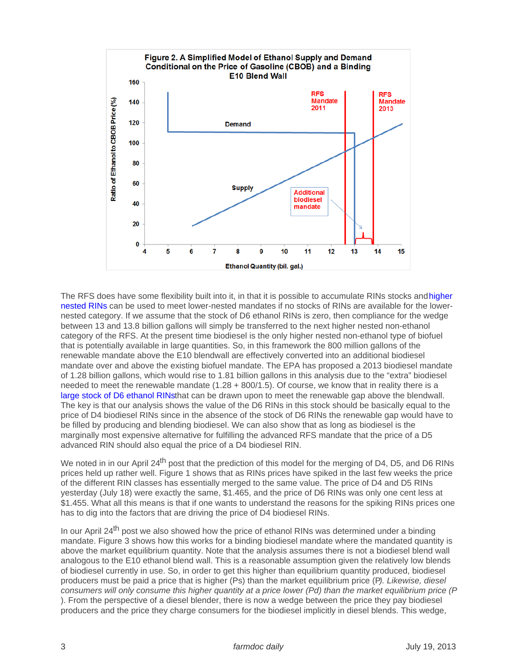The RFS does have some flexibility built into it, in that it is possible to accumulate RINs stocks and higher [nested RINs](http://farmdocdaily.illinois.edu/2012/09/the-nested-structure-of-the-rf.html) can be used to meet lower-nested mandates if no stocks of RINs are available for the lowernested category. If we assume that the stock of D6 ethanol RINs is zero, then compliance for the wedge between 13 and 13.8 billion gallons will simply be transferred to the next higher nested non-ethanol category of the RFS. At the present time biodiesel is the only higher nested non-ethanol type of biofuel that is potentially available in large quantities. So, in this framework the 800 million gallons of the renewable mandate above the E10 blendwall are effectively converted into an additional biodiesel mandate over and above the existing biofuel mandate. The EPA has proposed a 2013 biodiesel mandate of 1.28 billion gallons, which would rise to 1.81 billion gallons in this analysis due to the "extra" biodiesel needed to meet the renewable mandate (1.28 + 800/1.5). Of course, we know that in reality there is a [large stock of D6 ethanol RINs](http://farmdocdaily.illinois.edu/2013/04/update-2012-rin-carryover-controversy.html)that can be drawn upon to meet the renewable gap above the blendwall. The key is that our analysis shows the value of the D6 RINs in this stock should be basically equal to the price of D4 biodiesel RINs since in the absence of the stock of D6 RINs the renewable gap would have to be filled by producing and blending biodiesel. We can also show that as long as biodiesel is the marginally most expensive alternative for fulfilling the advanced RFS mandate that the price of a D5 advanced RIN should also equal the price of a D4 biodiesel RIN.

We noted in in our April 24<sup>th</sup> post that the prediction of this model for the merging of D4, D5, and D6 RINs prices held up rather well. Figure 1 shows that as RINs prices have spiked in the last few weeks the price of the different RIN classes has essentially merged to the same value. The price of D4 and D5 RINs yesterday (July 18) were exactly the same, \$1.465, and the price of D6 RINs was only one cent less at \$1.455. What all this means is that if one wants to understand the reasons for the spiking RINs prices one has to dig into the factors that are driving the price of D4 biodiesel RINs.

In our April 24<sup>th</sup> post we also showed how the price of ethanol RINs was determined under a binding mandate. Figure 3 shows how this works for a binding biodiesel mandate where the mandated quantity is above the market equilibrium quantity. Note that the analysis assumes there is not a biodiesel blend wall analogous to the E10 ethanol blend wall. This is a reasonable assumption given the relatively low blends of biodiesel currently in use. So, in order to get this higher than equilibrium quantity produced, biodiesel producers must be paid a price that is higher (Ps) than the market equilibrium price (P). Likewise, diesel consumers will only consume this higher quantity at a price lower (Pd) than the market equilibrium price (P ). From the perspective of a diesel blender, there is now a wedge between the price they pay biodiesel producers and the price they charge consumers for the biodiesel implicitly in diesel blends. This wedge,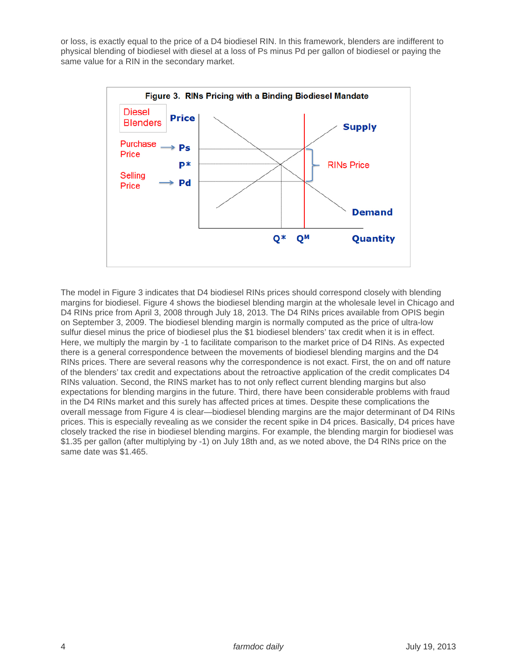or loss, is exactly equal to the price of a D4 biodiesel RIN. In this framework, blenders are indifferent to physical blending of biodiesel with diesel at a loss of Ps minus Pd per gallon of biodiesel or paying the same value for a RIN in the secondary market.



The model in Figure 3 indicates that D4 biodiesel RINs prices should correspond closely with blending margins for biodiesel. Figure 4 shows the biodiesel blending margin at the wholesale level in Chicago and D4 RINs price from April 3, 2008 through July 18, 2013. The D4 RINs prices available from OPIS begin on September 3, 2009. The biodiesel blending margin is normally computed as the price of ultra-low sulfur diesel minus the price of biodiesel plus the \$1 biodiesel blenders' tax credit when it is in effect. Here, we multiply the margin by -1 to facilitate comparison to the market price of D4 RINs. As expected there is a general correspondence between the movements of biodiesel blending margins and the D4 RINs prices. There are several reasons why the correspondence is not exact. First, the on and off nature of the blenders' tax credit and expectations about the retroactive application of the credit complicates D4 RINs valuation. Second, the RINS market has to not only reflect current blending margins but also expectations for blending margins in the future. Third, there have been considerable problems with fraud in the D4 RINs market and this surely has affected prices at times. Despite these complications the overall message from Figure 4 is clear—biodiesel blending margins are the major determinant of D4 RINs prices. This is especially revealing as we consider the recent spike in D4 prices. Basically, D4 prices have closely tracked the rise in biodiesel blending margins. For example, the blending margin for biodiesel was \$1.35 per gallon (after multiplying by -1) on July 18th and, as we noted above, the D4 RINs price on the same date was \$1.465.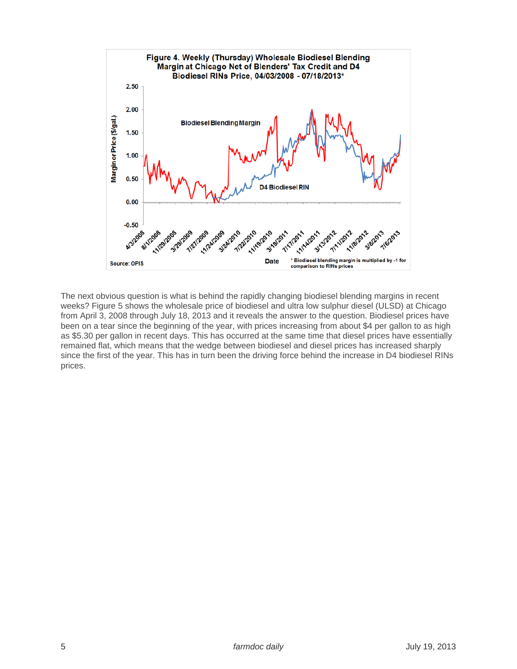

The next obvious question is what is behind the rapidly changing biodiesel blending margins in recent weeks? Figure 5 shows the wholesale price of biodiesel and ultra low sulphur diesel (ULSD) at Chicago from April 3, 2008 through July 18, 2013 and it reveals the answer to the question. Biodiesel prices have been on a tear since the beginning of the year, with prices increasing from about \$4 per gallon to as high as \$5.30 per gallon in recent days. This has occurred at the same time that diesel prices have essentially remained flat, which means that the wedge between biodiesel and diesel prices has increased sharply since the first of the year. This has in turn been the driving force behind the increase in D4 biodiesel RINs prices.